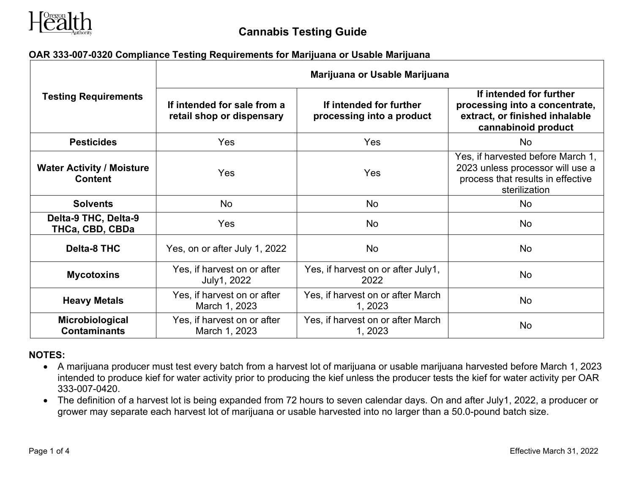

## **OAR 333-007-0320 Compliance Testing Requirements for Marijuana or Usable Marijuana**

| <b>Testing Requirements</b>                        | Marijuana or Usable Marijuana                            |                                                      |                                                                                                                             |  |
|----------------------------------------------------|----------------------------------------------------------|------------------------------------------------------|-----------------------------------------------------------------------------------------------------------------------------|--|
|                                                    | If intended for sale from a<br>retail shop or dispensary | If intended for further<br>processing into a product | If intended for further<br>processing into a concentrate,<br>extract, or finished inhalable<br>cannabinoid product          |  |
| <b>Pesticides</b>                                  | Yes                                                      | Yes                                                  | <b>No</b>                                                                                                                   |  |
| <b>Water Activity / Moisture</b><br><b>Content</b> | Yes                                                      | Yes                                                  | Yes, if harvested before March 1,<br>2023 unless processor will use a<br>process that results in effective<br>sterilization |  |
| <b>Solvents</b>                                    | <b>No</b>                                                | <b>No</b>                                            | No.                                                                                                                         |  |
| Delta-9 THC, Delta-9<br>THCa, CBD, CBDa            | Yes                                                      | <b>No</b>                                            | No                                                                                                                          |  |
| <b>Delta-8 THC</b>                                 | Yes, on or after July 1, 2022                            | <b>No</b>                                            | <b>No</b>                                                                                                                   |  |
| <b>Mycotoxins</b>                                  | Yes, if harvest on or after<br>July1, 2022               | Yes, if harvest on or after July1,<br>2022           | <b>No</b>                                                                                                                   |  |
| <b>Heavy Metals</b>                                | Yes, if harvest on or after<br>March 1, 2023             | Yes, if harvest on or after March<br>1, 2023         | No                                                                                                                          |  |
| Microbiological<br><b>Contaminants</b>             | Yes, if harvest on or after<br>March 1, 2023             | Yes, if harvest on or after March<br>1, 2023         | No                                                                                                                          |  |

#### **NOTES:**

- A marijuana producer must test every batch from a harvest lot of marijuana or usable marijuana harvested before March 1, 2023 intended to produce kief for water activity prior to producing the kief unless the producer tests the kief for water activity per OAR 333-007-0420.
- The definition of a harvest lot is being expanded from 72 hours to seven calendar days. On and after July1, 2022, a producer or grower may separate each harvest lot of marijuana or usable harvested into no larger than a 50.0-pound batch size.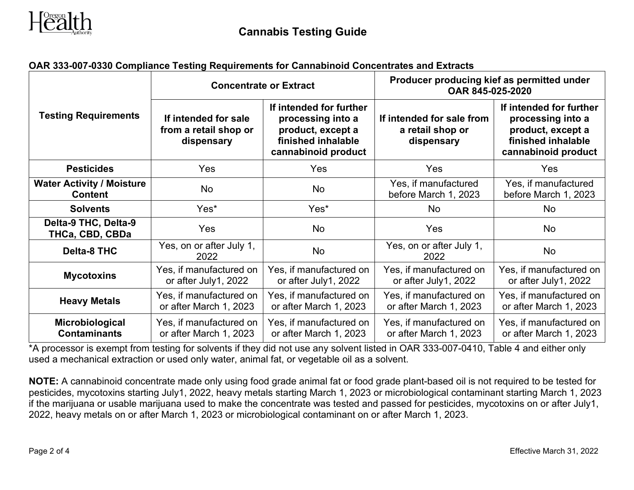

# **OAR 333-007-0330 Compliance Testing Requirements for Cannabinoid Concentrates and Extracts**

|                                                    | <b>Concentrate or Extract</b>                               |                                                                                                                | Producer producing kief as permitted under<br>OAR 845-025-2020 |                                                                                                                |
|----------------------------------------------------|-------------------------------------------------------------|----------------------------------------------------------------------------------------------------------------|----------------------------------------------------------------|----------------------------------------------------------------------------------------------------------------|
| <b>Testing Requirements</b>                        | If intended for sale<br>from a retail shop or<br>dispensary | If intended for further<br>processing into a<br>product, except a<br>finished inhalable<br>cannabinoid product | If intended for sale from<br>a retail shop or<br>dispensary    | If intended for further<br>processing into a<br>product, except a<br>finished inhalable<br>cannabinoid product |
| <b>Pesticides</b>                                  | <b>Yes</b>                                                  | <b>Yes</b>                                                                                                     | Yes                                                            | Yes                                                                                                            |
| <b>Water Activity / Moisture</b><br><b>Content</b> | No                                                          | No                                                                                                             | Yes, if manufactured<br>before March 1, 2023                   | Yes, if manufactured<br>before March 1, 2023                                                                   |
| <b>Solvents</b>                                    | Yes*                                                        | Yes*                                                                                                           | No                                                             | <b>No</b>                                                                                                      |
| Delta-9 THC, Delta-9<br>THCa, CBD, CBDa            | <b>Yes</b>                                                  | <b>No</b>                                                                                                      | <b>Yes</b>                                                     | <b>No</b>                                                                                                      |
| <b>Delta-8 THC</b>                                 | Yes, on or after July 1,<br>2022                            | <b>No</b>                                                                                                      | Yes, on or after July 1,<br>2022                               | <b>No</b>                                                                                                      |
| <b>Mycotoxins</b>                                  | Yes, if manufactured on<br>or after July1, 2022             | Yes, if manufactured on<br>or after July1, 2022                                                                | Yes, if manufactured on<br>or after July1, 2022                | Yes, if manufactured on<br>or after July1, 2022                                                                |
| <b>Heavy Metals</b>                                | Yes, if manufactured on<br>or after March 1, 2023           | Yes, if manufactured on<br>or after March 1, 2023                                                              | Yes, if manufactured on<br>or after March 1, 2023              | Yes, if manufactured on<br>or after March 1, 2023                                                              |
| Microbiological<br><b>Contaminants</b>             | Yes, if manufactured on<br>or after March 1, 2023           | Yes, if manufactured on<br>or after March 1, 2023                                                              | Yes, if manufactured on<br>or after March 1, 2023              | Yes, if manufactured on<br>or after March 1, 2023                                                              |

\*A processor is exempt from testing for solvents if they did not use any solvent listed in OAR 333-007-0410, Table 4 and either only used a mechanical extraction or used only water, animal fat, or vegetable oil as a solvent.

**NOTE:** A cannabinoid concentrate made only using food grade animal fat or food grade plant-based oil is not required to be tested for pesticides, mycotoxins starting July1, 2022, heavy metals starting March 1, 2023 or microbiological contaminant starting March 1, 2023 if the marijuana or usable marijuana used to make the concentrate was tested and passed for pesticides, mycotoxins on or after July1, 2022, heavy metals on or after March 1, 2023 or microbiological contaminant on or after March 1, 2023.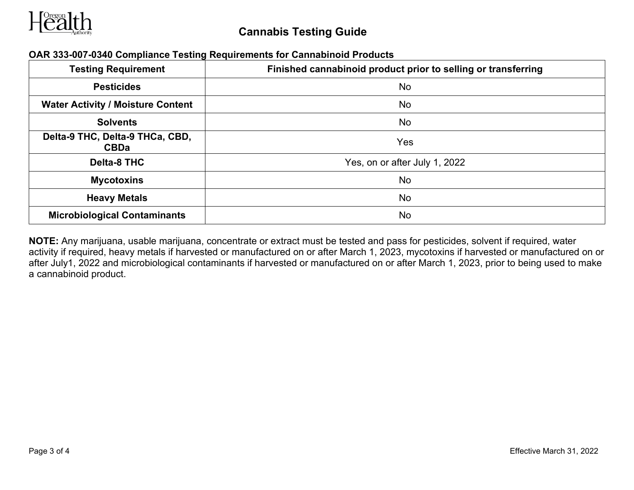

| <b>Testing Requirement</b>                     | Finished cannabinoid product prior to selling or transferring |
|------------------------------------------------|---------------------------------------------------------------|
| <b>Pesticides</b>                              | No                                                            |
| <b>Water Activity / Moisture Content</b>       | No                                                            |
| <b>Solvents</b>                                | No                                                            |
| Delta-9 THC, Delta-9 THCa, CBD,<br><b>CBDa</b> | Yes                                                           |
| <b>Delta-8 THC</b>                             | Yes, on or after July 1, 2022                                 |
| <b>Mycotoxins</b>                              | <b>No</b>                                                     |
| <b>Heavy Metals</b>                            | No                                                            |
| <b>Microbiological Contaminants</b>            | No                                                            |

#### **OAR 333-007-0340 Compliance Testing Requirements for Cannabinoid Products**

**NOTE:** Any marijuana, usable marijuana, concentrate or extract must be tested and pass for pesticides, solvent if required, water activity if required, heavy metals if harvested or manufactured on or after March 1, 2023, mycotoxins if harvested or manufactured on or after July1, 2022 and microbiological contaminants if harvested or manufactured on or after March 1, 2023, prior to being used to make a cannabinoid product.